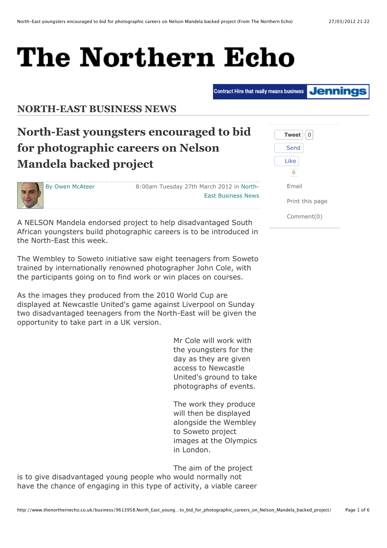# The Northern Echo

**Jenning** Contract Hire that really means business

**NORTH-EAST BUSINESS NEWS** 

## **North-East youngsters encouraged to bid for photographic careers on Nelson Mandela backed project**

By Owen McAteer

8:00am Tuesday 27th March 2012 in North-East Business News

**FEED**

A NELSON Mandela endorsed project to help disadvantaged South African youngsters build photographic careers is to be introduced in the North-East this week.

The Wembley to Soweto initiative saw eight teenagers from Soweto trained by internationally renowned photographer John Cole, with the participants going on to find work or win places on courses.

As the images they produced from the 2010 World Cup are displayed at Newcastle United's game against Liverpool on Sunday two disadvantaged teenagers from the North-East will be given the opportunity to take part in a UK version.

> Mr Cole will work with the youngsters for the day as they are given access to Newcastle United's ground to take photographs of events.

The work they produce will then be displayed alongside the Wembley to Soweto project images at the Olympics in London.

The aim of the project is to give disadvantaged young people who would normally not have the chance of engaging in this type of activity, a viable career